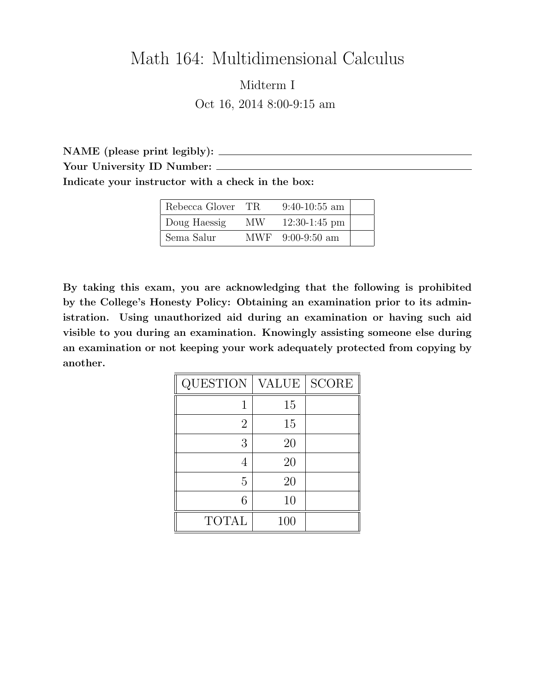## Math 164: Multidimensional Calculus

Midterm I Oct 16, 2014 8:00-9:15 am

NAME (please print legibly): Your University ID Number: Indicate your instructor with a check in the box:

| Rebecca Glover | TR. | $9:40-10:55$ am  |  |
|----------------|-----|------------------|--|
| Doug Haessig   | MW. | $12:30-1:45$ pm  |  |
| Sema Salur     |     | MWF 9:00-9:50 am |  |

By taking this exam, you are acknowledging that the following is prohibited by the College's Honesty Policy: Obtaining an examination prior to its administration. Using unauthorized aid during an examination or having such aid visible to you during an examination. Knowingly assisting someone else during an examination or not keeping your work adequately protected from copying by another.

| <b>QUESTION</b> | VALUE | <b>SCORE</b> |
|-----------------|-------|--------------|
|                 | 15    |              |
| $\overline{2}$  | 15    |              |
| 3               | 20    |              |
|                 | 20    |              |
| 5               | 20    |              |
| 6               | 10    |              |
| <b>TOTAL</b>    | 100   |              |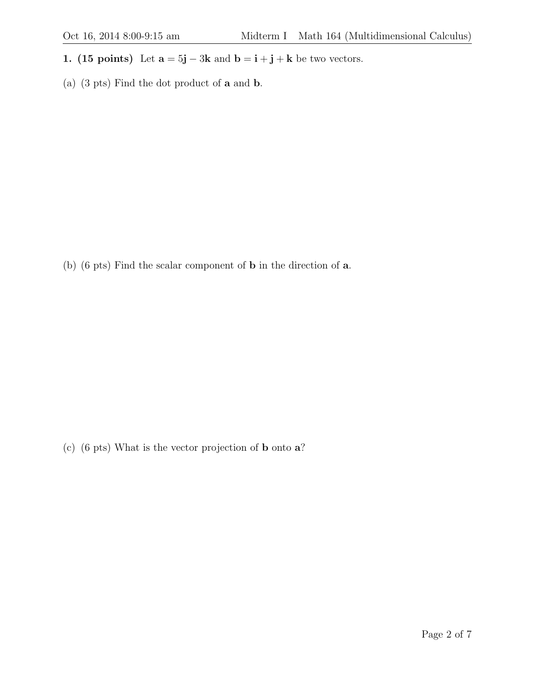- 1. (15 points) Let  $\mathbf{a} = 5\mathbf{j} 3\mathbf{k}$  and  $\mathbf{b} = \mathbf{i} + \mathbf{j} + \mathbf{k}$  be two vectors.
- (a) (3 pts) Find the dot product of a and b.

(b) (6 pts) Find the scalar component of b in the direction of a.

(c) (6 pts) What is the vector projection of b onto a?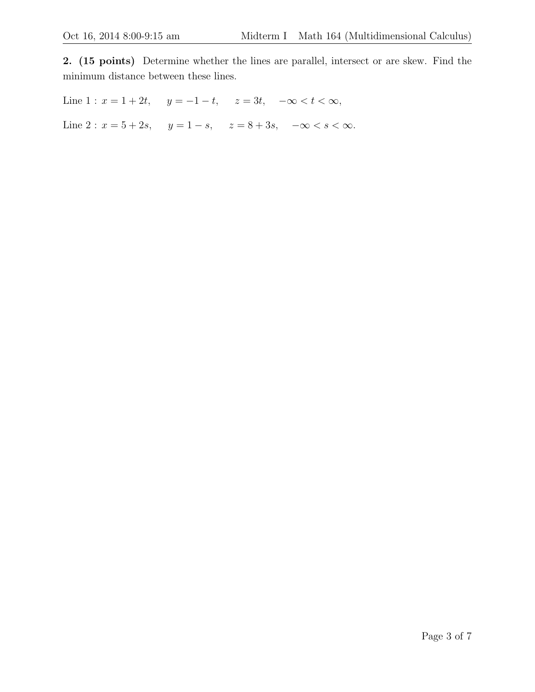2. (15 points) Determine whether the lines are parallel, intersect or are skew. Find the minimum distance between these lines.

Line  $1: x = 1 + 2t$ ,  $y = -1 - t$ ,  $z = 3t$ ,  $-\infty < t < \infty$ ,

Line 2 :  $x = 5 + 2s$ ,  $y = 1 - s$ ,  $z = 8 + 3s$ ,  $-\infty < s < \infty$ .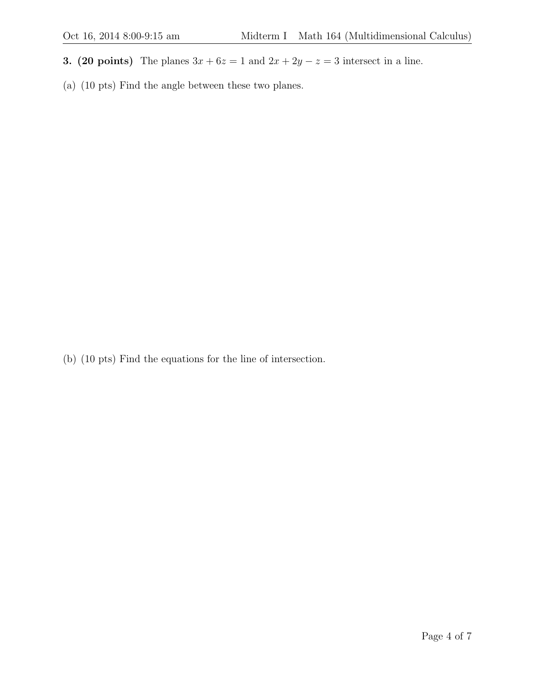- 3. (20 points) The planes  $3x + 6z = 1$  and  $2x + 2y z = 3$  intersect in a line.
- (a) (10 pts) Find the angle between these two planes.

(b) (10 pts) Find the equations for the line of intersection.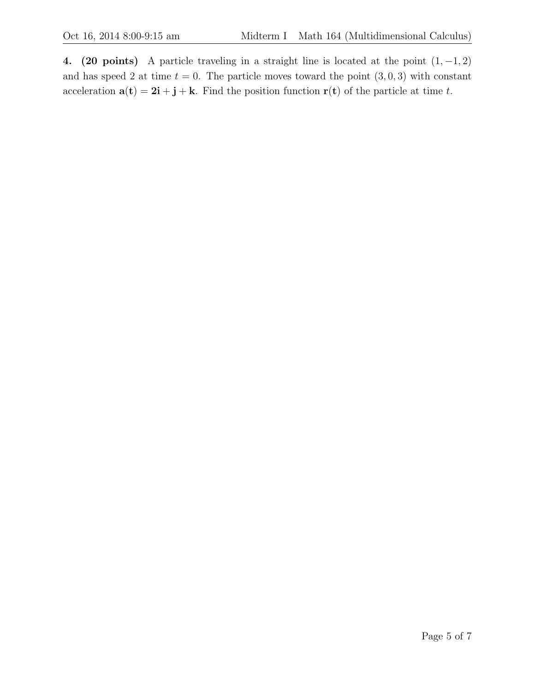4. (20 points) A particle traveling in a straight line is located at the point  $(1, -1, 2)$ and has speed 2 at time  $t = 0$ . The particle moves toward the point  $(3, 0, 3)$  with constant acceleration  $\mathbf{a}(\mathbf{t}) = 2\mathbf{i} + \mathbf{j} + \mathbf{k}$ . Find the position function  $\mathbf{r}(\mathbf{t})$  of the particle at time t.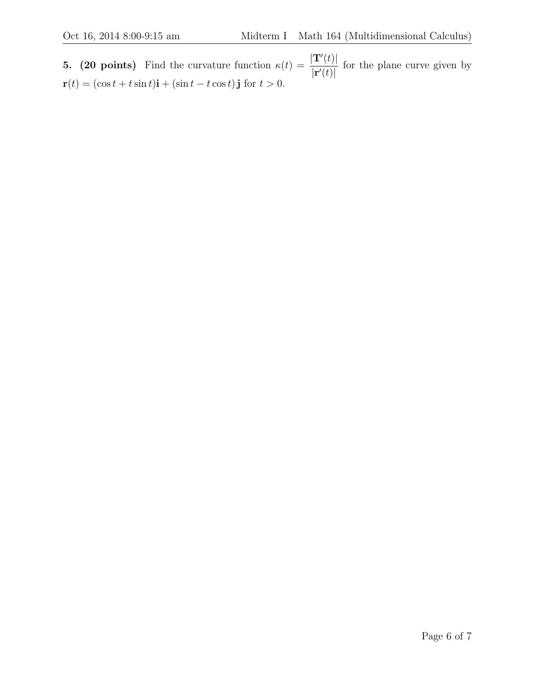**5.** (20 points) Find the curvature function  $\kappa(t) = \frac{|\mathbf{T}'(t)|}{t(t)}$  $|\mathbf{r}'(t)|$ for the plane curve given by  $\mathbf{r}(t) = (\cos t + t \sin t)\mathbf{i} + (\sin t - t \cos t)\mathbf{j}$  for  $t > 0$ .